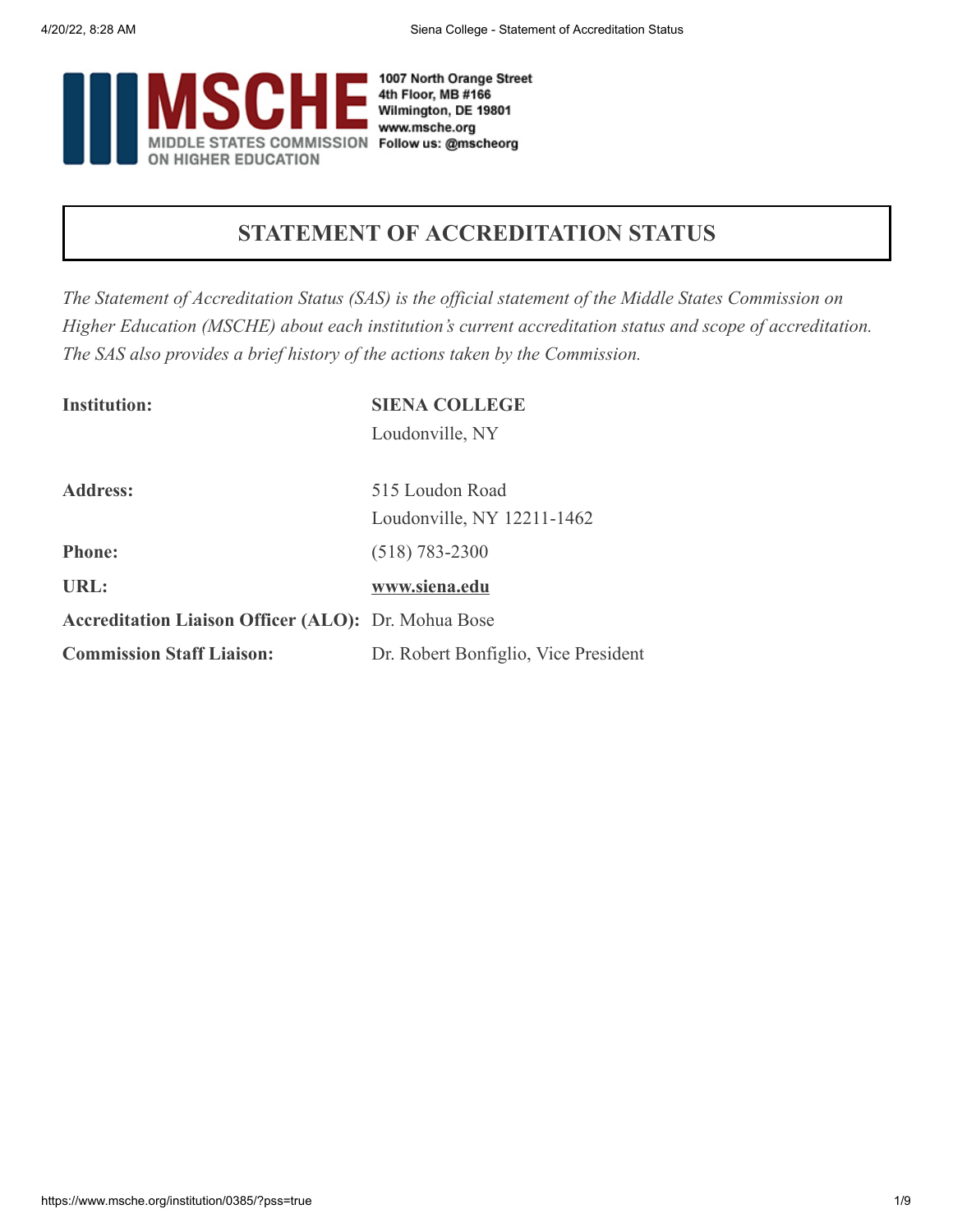

## **STATEMENT OF ACCREDITATION STATUS**

*The Statement of Accreditation Status (SAS) is the official statement of the Middle States Commission on Higher Education (MSCHE) about each institution's current accreditation status and scope of accreditation. The SAS also provides a brief history of the actions taken by the Commission.*

| <b>Institution:</b>                                        | <b>SIENA COLLEGE</b>                 |
|------------------------------------------------------------|--------------------------------------|
|                                                            | Loudonville, NY                      |
| <b>Address:</b>                                            | 515 Loudon Road                      |
|                                                            | Loudonville, NY 12211-1462           |
| <b>Phone:</b>                                              | $(518) 783 - 2300$                   |
| URL:                                                       | www.siena.edu                        |
| <b>Accreditation Liaison Officer (ALO):</b> Dr. Mohua Bose |                                      |
| <b>Commission Staff Liaison:</b>                           | Dr. Robert Bonfiglio, Vice President |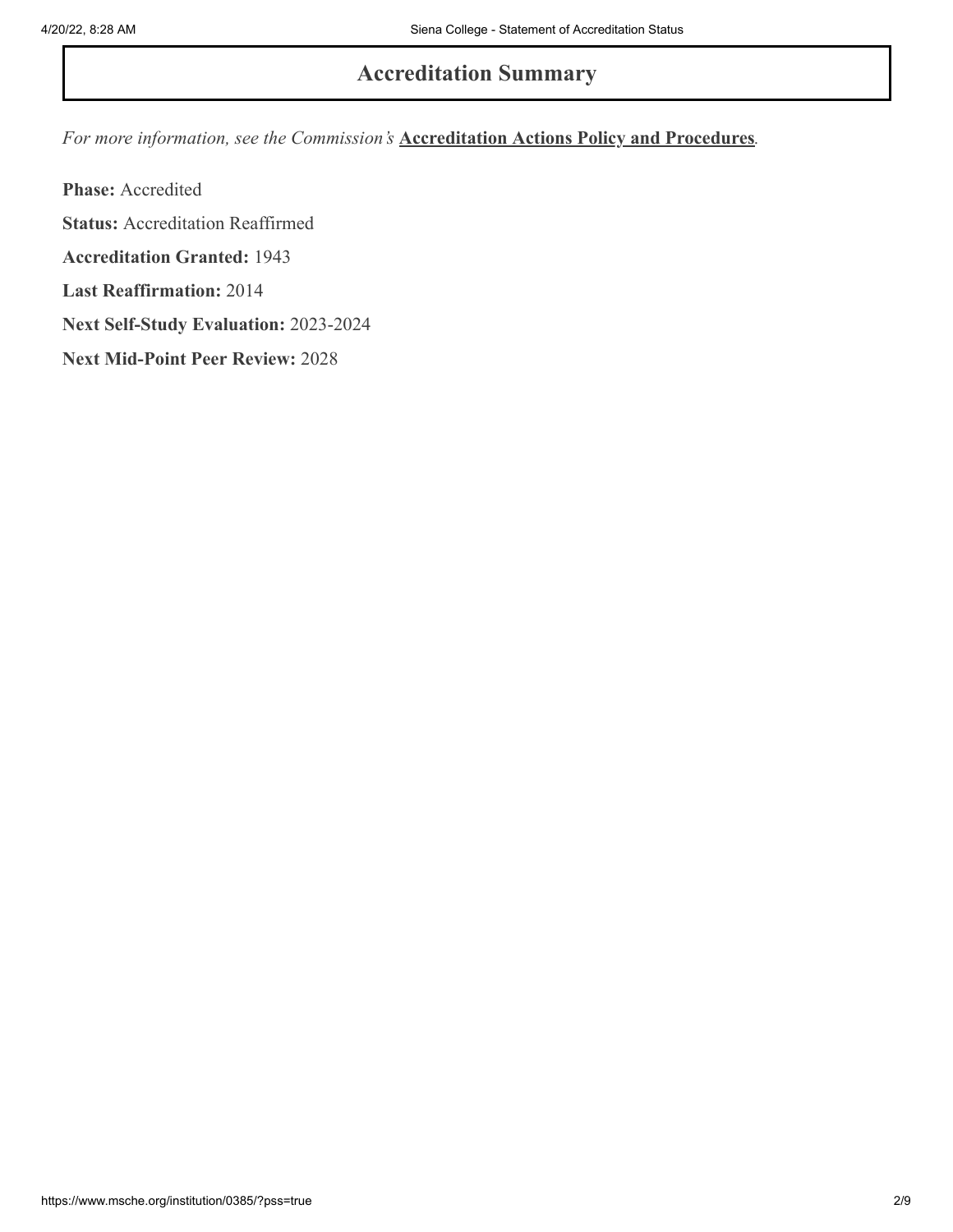## **Accreditation Summary**

*For more information, see the Commission's* **[Accreditation Actions Policy and Procedures](https://www.msche.org/policies-guidelines/)***.*

**Phase:** Accredited **Status:** Accreditation Reaffirmed **Accreditation Granted:** 1943 **Last Reaffirmation:** 2014 **Next Self-Study Evaluation:** 2023-2024 **Next Mid-Point Peer Review:** 2028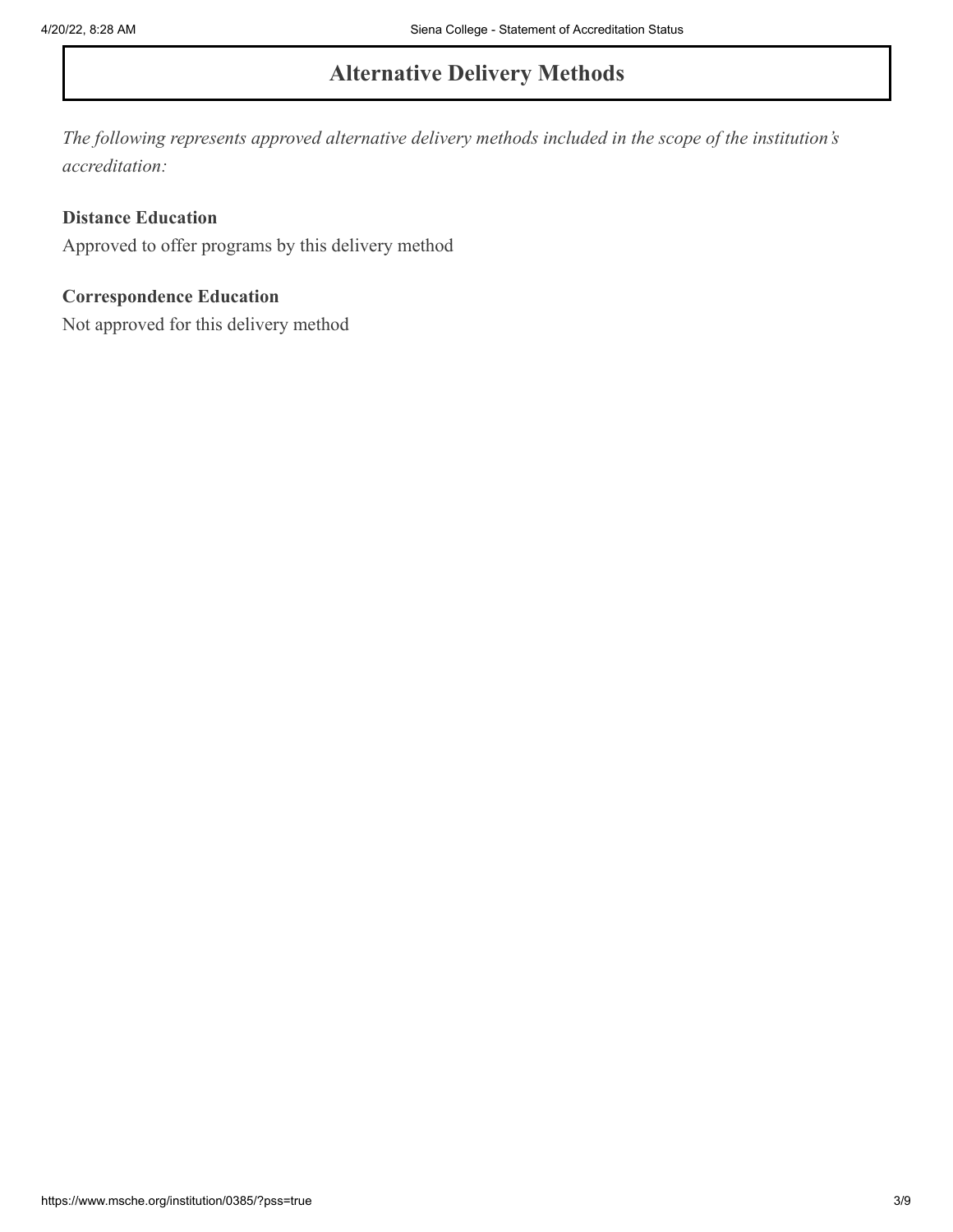# **Alternative Delivery Methods**

*The following represents approved alternative delivery methods included in the scope of the institution's accreditation:*

#### **Distance Education**

Approved to offer programs by this delivery method

#### **Correspondence Education**

Not approved for this delivery method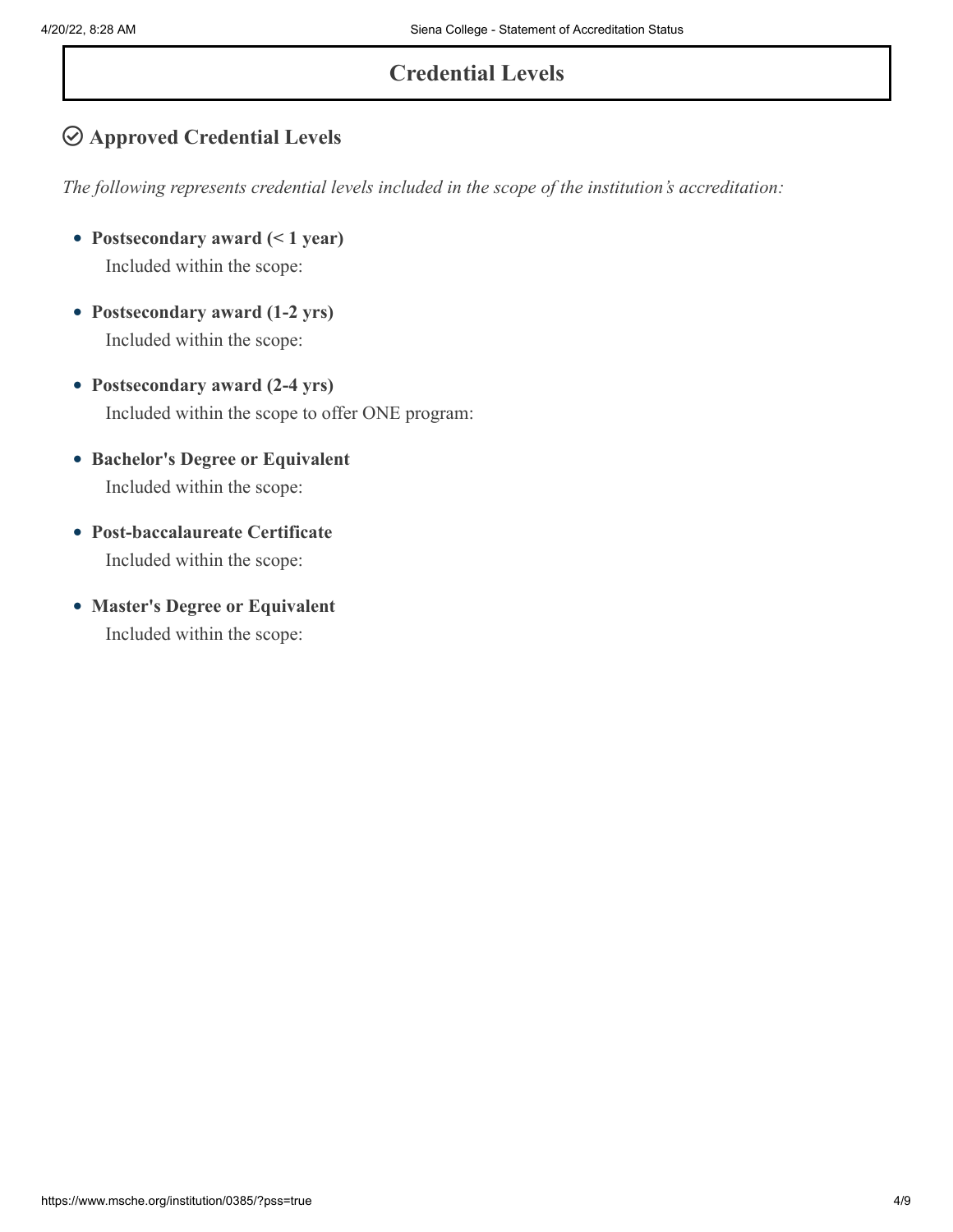# **Credential Levels**

## **Approved Credential Levels**

*The following represents credential levels included in the scope of the institution's accreditation:*

- **Postsecondary award (< 1 year)** Included within the scope:
- **Postsecondary award (1-2 yrs)** Included within the scope:
- **Postsecondary award (2-4 yrs)** Included within the scope to offer ONE program:
- **Bachelor's Degree or Equivalent** Included within the scope:
- **Post-baccalaureate Certificate** Included within the scope:
- **Master's Degree or Equivalent** Included within the scope: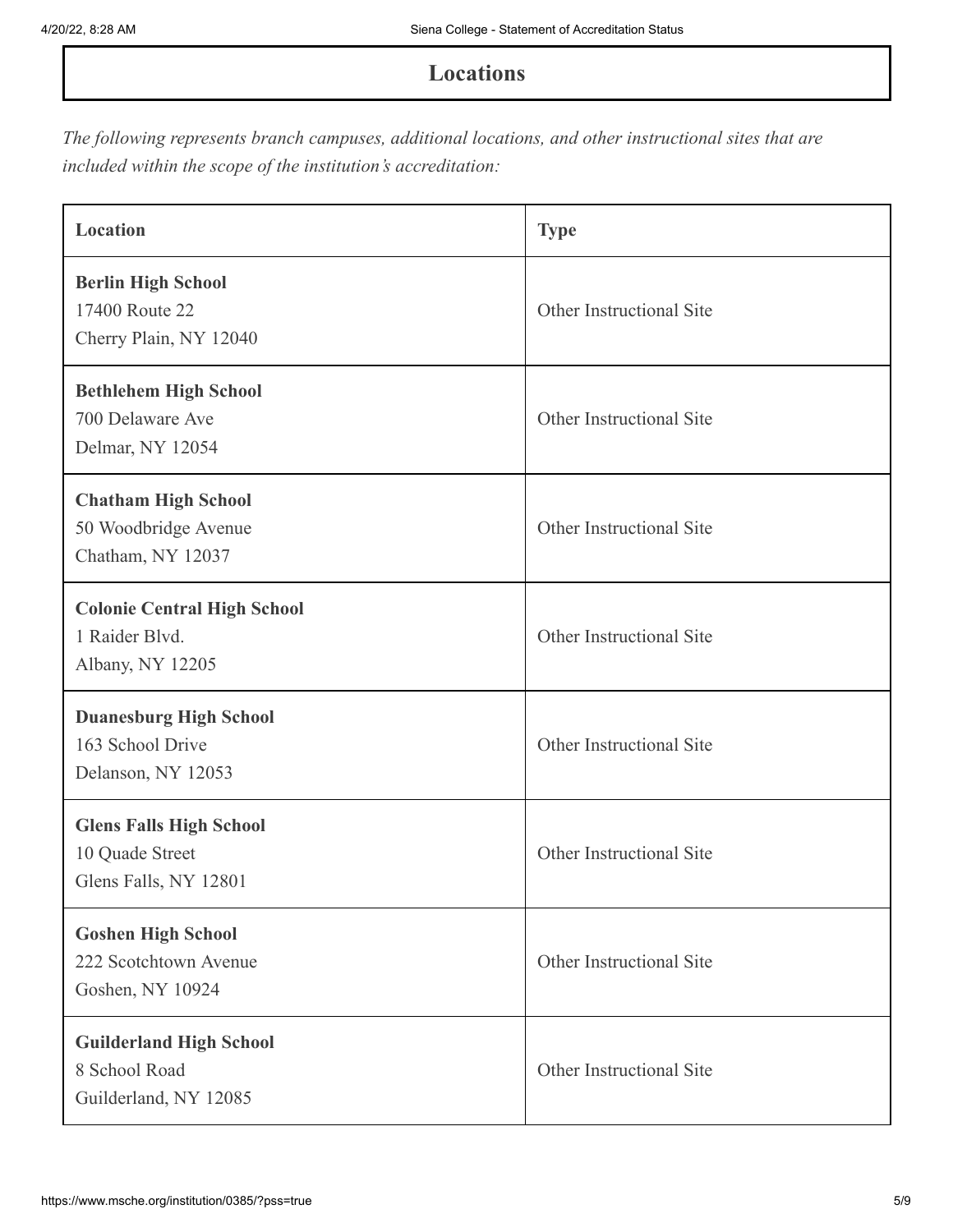### **Locations**

*The following represents branch campuses, additional locations, and other instructional sites that are included within the scope of the institution's accreditation:*

| Location                                                                   | <b>Type</b>              |
|----------------------------------------------------------------------------|--------------------------|
| <b>Berlin High School</b><br>17400 Route 22<br>Cherry Plain, NY 12040      | Other Instructional Site |
| <b>Bethlehem High School</b><br>700 Delaware Ave<br>Delmar, NY 12054       | Other Instructional Site |
| <b>Chatham High School</b><br>50 Woodbridge Avenue<br>Chatham, NY 12037    | Other Instructional Site |
| <b>Colonie Central High School</b><br>1 Raider Blvd.<br>Albany, NY 12205   | Other Instructional Site |
| <b>Duanesburg High School</b><br>163 School Drive<br>Delanson, NY 12053    | Other Instructional Site |
| <b>Glens Falls High School</b><br>10 Quade Street<br>Glens Falls, NY 12801 | Other Instructional Site |
| <b>Goshen High School</b><br>222 Scotchtown Avenue<br>Goshen, NY 10924     | Other Instructional Site |
| <b>Guilderland High School</b><br>8 School Road<br>Guilderland, NY 12085   | Other Instructional Site |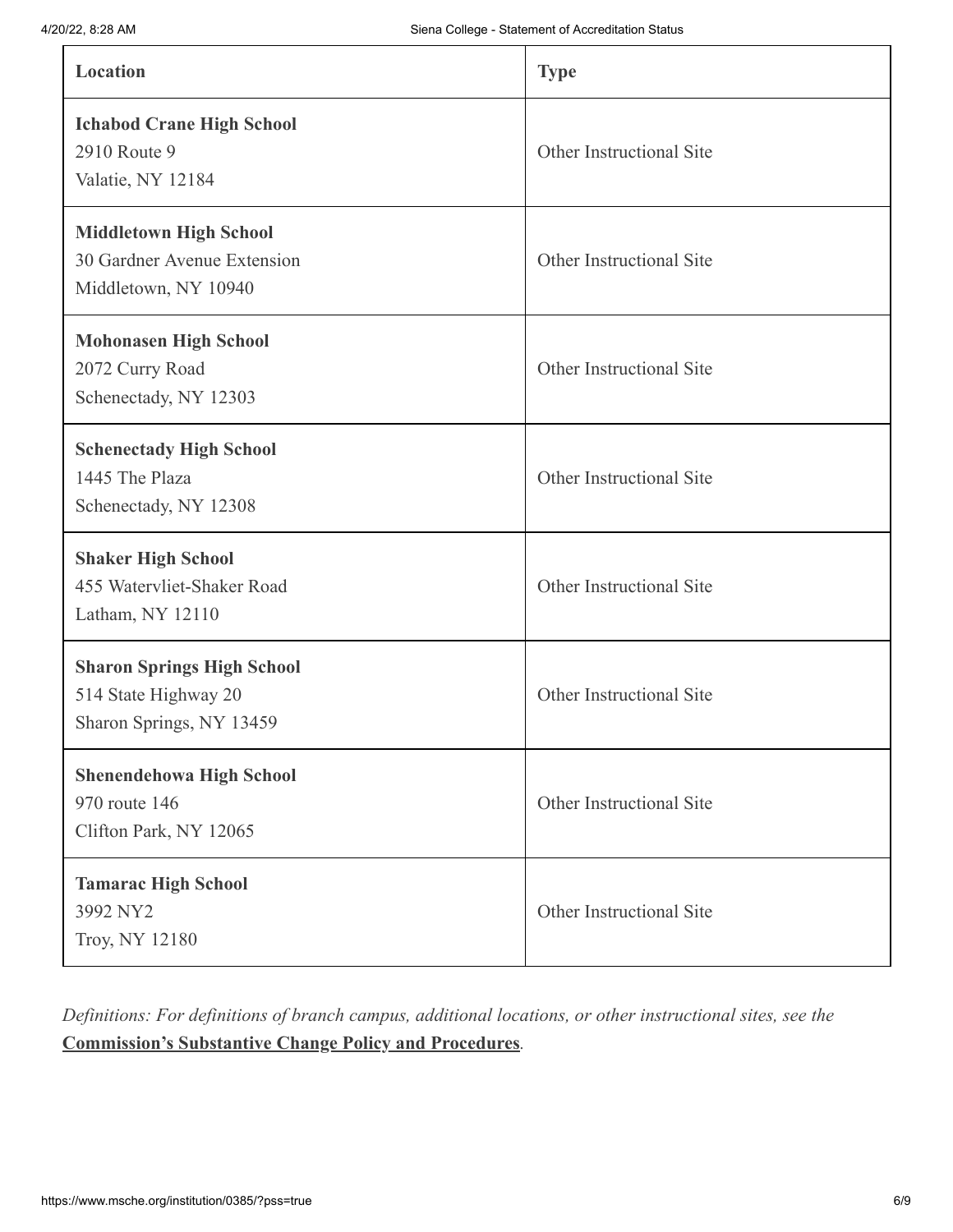| Location                                                                              | <b>Type</b>              |
|---------------------------------------------------------------------------------------|--------------------------|
| <b>Ichabod Crane High School</b><br>2910 Route 9<br>Valatie, NY 12184                 | Other Instructional Site |
| <b>Middletown High School</b><br>30 Gardner Avenue Extension<br>Middletown, NY 10940  | Other Instructional Site |
| <b>Mohonasen High School</b><br>2072 Curry Road<br>Schenectady, NY 12303              | Other Instructional Site |
| <b>Schenectady High School</b><br>1445 The Plaza<br>Schenectady, NY 12308             | Other Instructional Site |
| <b>Shaker High School</b><br>455 Watervliet-Shaker Road<br>Latham, NY 12110           | Other Instructional Site |
| <b>Sharon Springs High School</b><br>514 State Highway 20<br>Sharon Springs, NY 13459 | Other Instructional Site |
| <b>Shenendehowa High School</b><br>970 route 146<br>Clifton Park, NY 12065            | Other Instructional Site |
| <b>Tamarac High School</b><br>3992 NY2<br>Troy, NY 12180                              | Other Instructional Site |

*Definitions: For definitions of branch campus, additional locations, or other instructional sites, see the* **[Commission's Substantive Change Policy and Procedures](https://www.msche.org/policies-guidelines/)***.*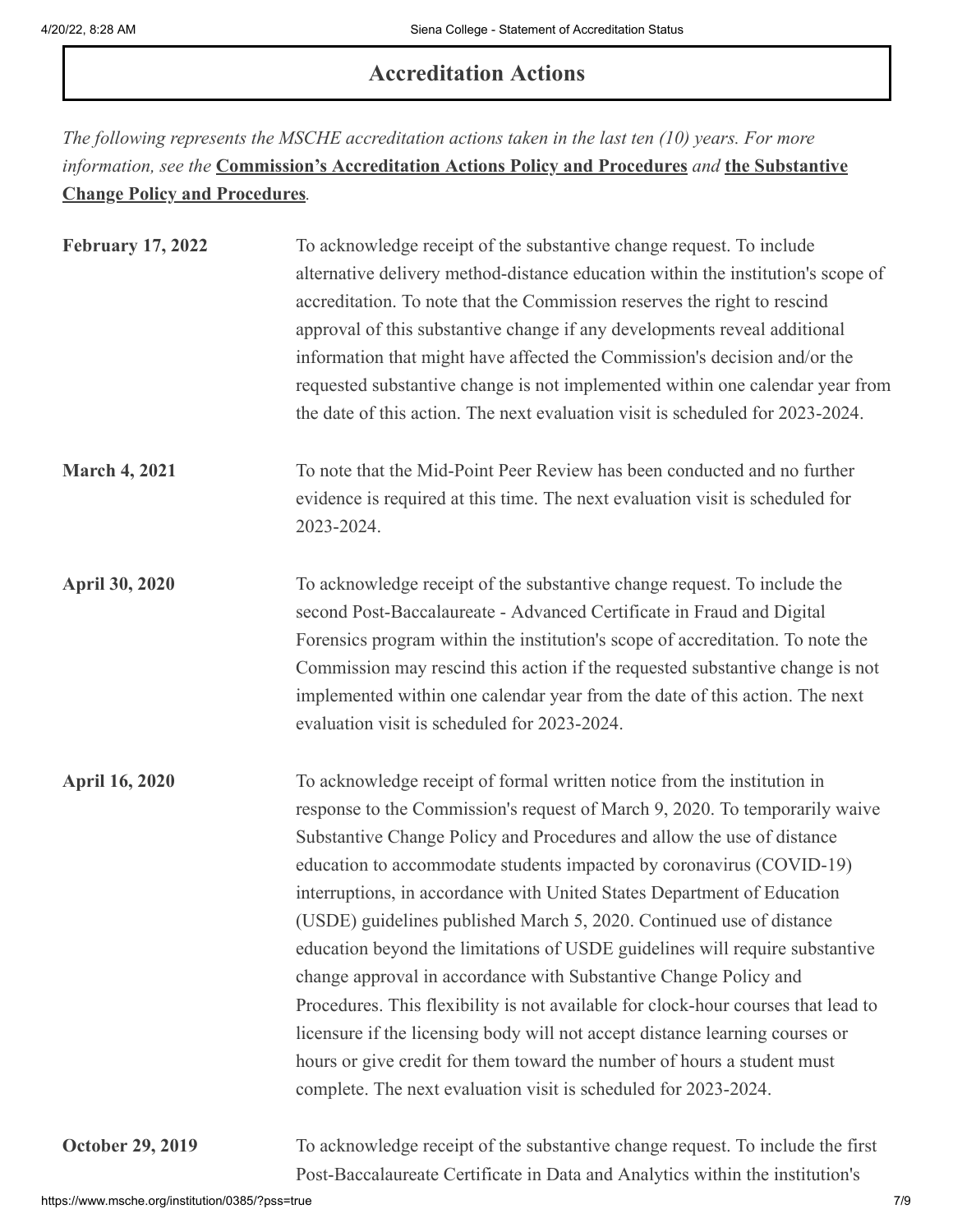### **Accreditation Actions**

*The following represents the MSCHE accreditation actions taken in the last ten (10) years. For more information, see the* **[Commission's Accreditation Actions Policy and Procedures](https://www.msche.org/policies-guidelines/)** *and* **the Substantive Change Policy and Procedures***.*

| <b>February 17, 2022</b> | To acknowledge receipt of the substantive change request. To include<br>alternative delivery method-distance education within the institution's scope of<br>accreditation. To note that the Commission reserves the right to rescind<br>approval of this substantive change if any developments reveal additional<br>information that might have affected the Commission's decision and/or the<br>requested substantive change is not implemented within one calendar year from<br>the date of this action. The next evaluation visit is scheduled for 2023-2024.                                                                                                                                                                                                                                                                                                                                                                  |
|--------------------------|------------------------------------------------------------------------------------------------------------------------------------------------------------------------------------------------------------------------------------------------------------------------------------------------------------------------------------------------------------------------------------------------------------------------------------------------------------------------------------------------------------------------------------------------------------------------------------------------------------------------------------------------------------------------------------------------------------------------------------------------------------------------------------------------------------------------------------------------------------------------------------------------------------------------------------|
| <b>March 4, 2021</b>     | To note that the Mid-Point Peer Review has been conducted and no further<br>evidence is required at this time. The next evaluation visit is scheduled for<br>2023-2024.                                                                                                                                                                                                                                                                                                                                                                                                                                                                                                                                                                                                                                                                                                                                                            |
| <b>April 30, 2020</b>    | To acknowledge receipt of the substantive change request. To include the<br>second Post-Baccalaureate - Advanced Certificate in Fraud and Digital<br>Forensics program within the institution's scope of accreditation. To note the<br>Commission may rescind this action if the requested substantive change is not<br>implemented within one calendar year from the date of this action. The next<br>evaluation visit is scheduled for 2023-2024.                                                                                                                                                                                                                                                                                                                                                                                                                                                                                |
| <b>April 16, 2020</b>    | To acknowledge receipt of formal written notice from the institution in<br>response to the Commission's request of March 9, 2020. To temporarily waive<br>Substantive Change Policy and Procedures and allow the use of distance<br>education to accommodate students impacted by coronavirus (COVID-19)<br>interruptions, in accordance with United States Department of Education<br>(USDE) guidelines published March 5, 2020. Continued use of distance<br>education beyond the limitations of USDE guidelines will require substantive<br>change approval in accordance with Substantive Change Policy and<br>Procedures. This flexibility is not available for clock-hour courses that lead to<br>licensure if the licensing body will not accept distance learning courses or<br>hours or give credit for them toward the number of hours a student must<br>complete. The next evaluation visit is scheduled for 2023-2024. |
| <b>October 29, 2019</b>  | To acknowledge receipt of the substantive change request. To include the first<br>Post-Baccalaureate Certificate in Data and Analytics within the institution's                                                                                                                                                                                                                                                                                                                                                                                                                                                                                                                                                                                                                                                                                                                                                                    |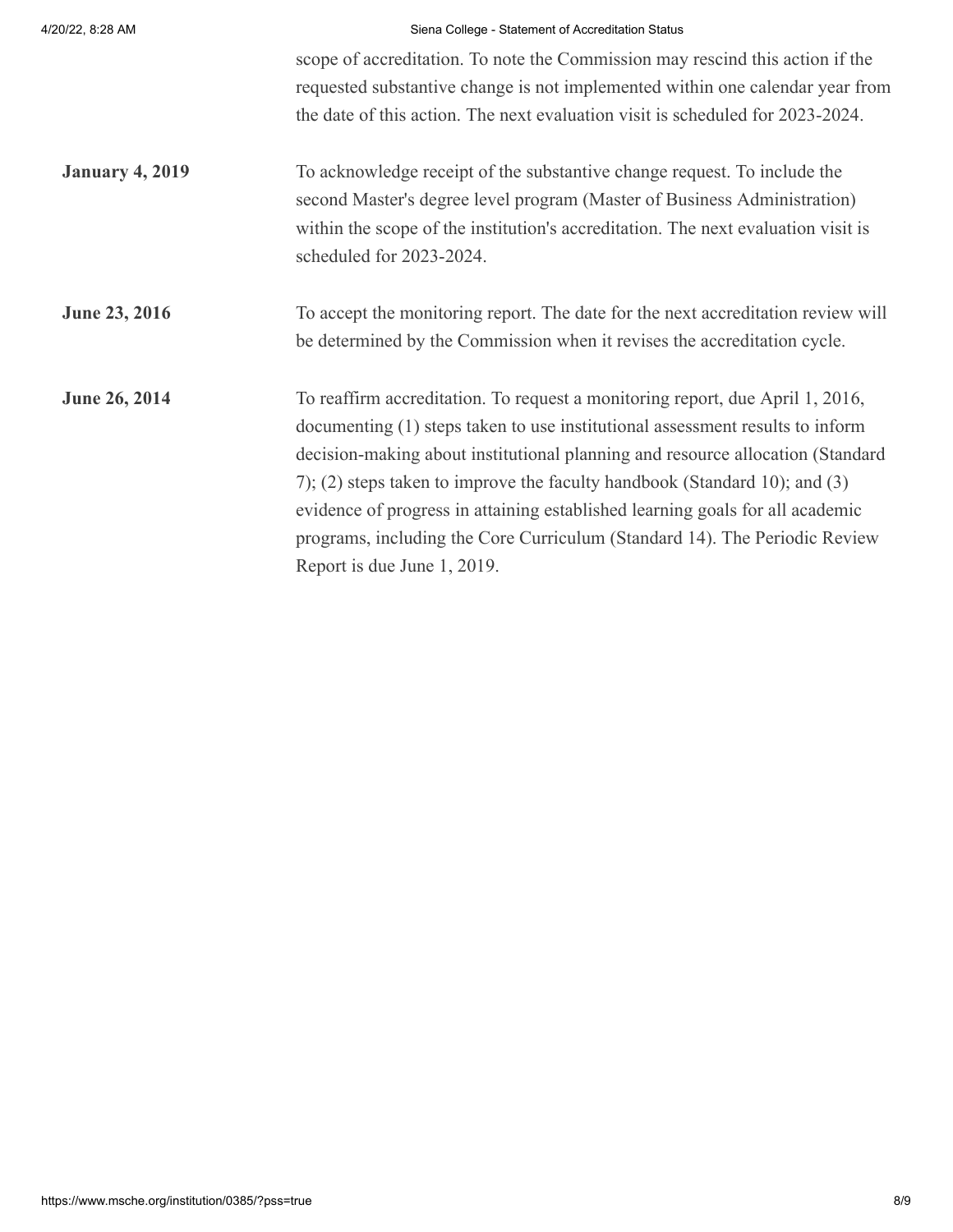| 4/20/22, 8:28 AM       | Siena College - Statement of Accreditation Status                                 |
|------------------------|-----------------------------------------------------------------------------------|
|                        | scope of accreditation. To note the Commission may rescind this action if the     |
|                        | requested substantive change is not implemented within one calendar year from     |
|                        | the date of this action. The next evaluation visit is scheduled for 2023-2024.    |
| <b>January 4, 2019</b> | To acknowledge receipt of the substantive change request. To include the          |
|                        | second Master's degree level program (Master of Business Administration)          |
|                        | within the scope of the institution's accreditation. The next evaluation visit is |
|                        | scheduled for 2023-2024.                                                          |
| <b>June 23, 2016</b>   | To accept the monitoring report. The date for the next accreditation review will  |
|                        | be determined by the Commission when it revises the accreditation cycle.          |
| <b>June 26, 2014</b>   | To reaffirm accreditation. To request a monitoring report, due April 1, 2016,     |
|                        | documenting (1) steps taken to use institutional assessment results to inform     |
|                        | decision-making about institutional planning and resource allocation (Standard    |
|                        | 7); (2) steps taken to improve the faculty handbook (Standard 10); and $(3)$      |
|                        | evidence of progress in attaining established learning goals for all academic     |
|                        | programs, including the Core Curriculum (Standard 14). The Periodic Review        |
|                        | Report is due June 1, 2019.                                                       |
|                        |                                                                                   |